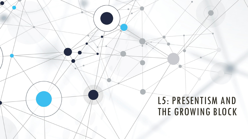#### L5: PRESENTISM AND THE GROWING BLOCK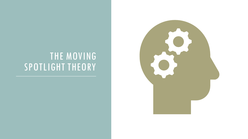#### THE MOVING SPOTLIGHT THEORY

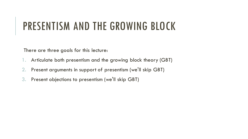## PRESENTISM AND THE GROWING BLOCK

There are three goals for this lecture:

- 1. Articulate both presentism and the growing block theory (GBT)
- 2. Present arguments in support of presentism (we'll skip GBT)
- 3. Present objections to presentism (we'll skip GBT)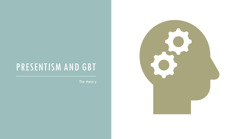The theory

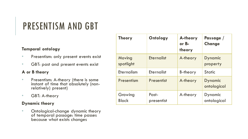#### **Temporal ontology**

- Presentism: only present events exist
- GBT: past and present events exist

#### **A or B theory**

- Presentism: A-theory (there is some instant of time that absolutely (nonrelatively) present)
- GBT: A-theory

#### **Dynamic theory**

• Ontological-change dynamic theory of temporal passage: time passes because what exists changes

| <b>Theory</b>           | Ontology            | A-theory<br>$or B-$<br>theory | Passage /<br><b>Change</b> |
|-------------------------|---------------------|-------------------------------|----------------------------|
| Moving<br>spotlight     | <b>Eternalist</b>   | A-theory                      | Dynamic<br>property        |
| <b>Eternalism</b>       | <b>Eternalist</b>   | B-theory                      | <b>Static</b>              |
| Presentism              | Presentist          | A-theory                      | Dynamic<br>ontological     |
| Growing<br><b>Block</b> | Past-<br>presentist | A-theory                      | Dynamic<br>ontological     |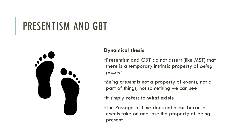

#### **Dynamical thesis**

- •Presentism and GBT do not assert (like MST) that there is a temporary intrinsic property of *being present*
- •*Being present* is not a property of events, not a part of things, not something we can see
- •It simply refers to **what exists**
- •The Passage of time does not occur because events take on and lose the property of being present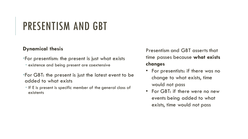#### **Dynamical thesis**

- •For presentism: the present is just what exists
	- existence and being present are coextensive
- •For GBT: the present is just the latest event to be added to what exists
- If E is present is specific member of the general class of existents

Presentism and GBT asserts that time passes because **what exists changes**

- For presentists: if there was no change to what exists, time would not pass
- For GBT: if there were no new events being added to what exists, time would not pass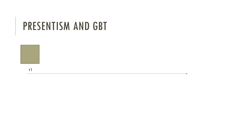

t1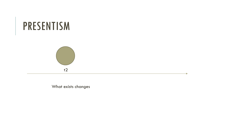



What exists changes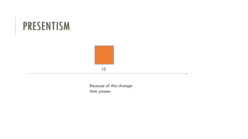#### PRESENTISM



Because of this change: time passes

a.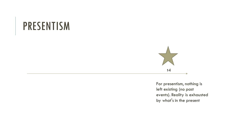#### PRESENTISM



For presentism, nothing is left existing (no past events). Reality is exhausted by what's in the present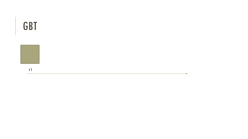#### **GBT**



t1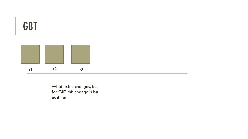

What exists changes, but for GBT this change is **by addition**

a.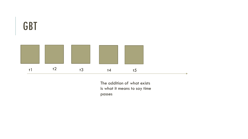

The addition of what exists is what it means to say time passes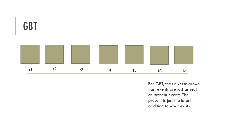

For GBT, the universe grows. Past events are just as real as present events. The present is just the latest addition to what exists.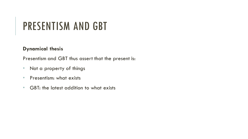#### **Dynamical thesis**

Presentism and GBT thus assert that the present is:

- Not a property of things
- Presentism: what exists
- GBT: the latest addition to what exists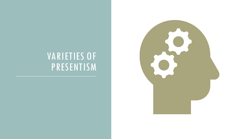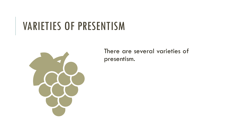

There are several varieties of presentism.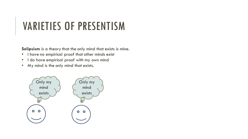**Solipsism** is a theory that the only mind that exists is mine.

- I have no empirical proof that other minds exist
- I do have empirical proof with my own mind
- My mind is the only mind that exists.

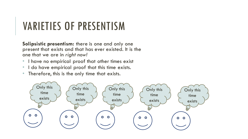**Solipsistic presentism:** there is one and only one present that exists and that has ever existed. It is the one that we are in *right now!*

- I have no empirical proof that other times exist
- I do have empirical proof that this time exists.
- Therefore, this is the only time that exists.

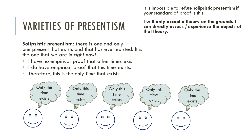**Solipsistic presentism:** there is one and only one present that exists and that has ever existed. It is the one that we are in *right now!*

- I have no empirical proof that other times exist
- I do have empirical proof that this time exists.
- Therefore, this is the only time that exists.



It is impossible to refute solipsistic presentism if your standard of proof is this:

**I will only accept a theory on the grounds I can directly access / experience the objects of that theory.**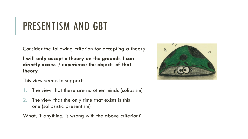Consider the following criterion for accepting a theory:

**I will only accept a theory on the grounds I can directly access / experience the objects of that theory.**

This view seems to support:

- The view that there are no other minds (solipsism)
- 2. The view that the only time that exists is this one (solipsistic presentism)

What, if anything, is wrong with the above criterion?

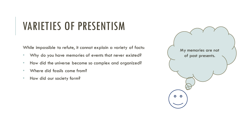While impossible to refute, it cannot explain a variety of facts:

- Why do you have memories of events that never existed?
- How did the universe become so complex and organized?
- Where did fossils come from?
- How did our society form?

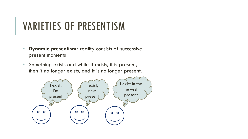- **Dynamic presentism:** reality consists of successive present moments
- Something exists and while it exists, it is present, then it no longer exists, and it is no longer present.

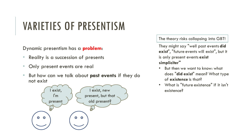Dynamic presentism has a **problem**:

- Reality is a succession of presents
- Only present events are real
- But how can we talk about **past events** if they do not exist



The theory risks collapsing into GBT!

They might say "well past events **did exist**", "future events will exist", but it is only present events **exist simpliciter"**

- But then we want to know: what does "**did exist**" mean? What type of **existence** is that?
- What is "future existence" if it isn't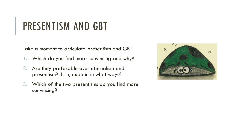Take a moment to articulate presentism and GBT

- 1. Which do you find more convincing and why?
- 2. Are they preferable over eternalism and presentism? If so, explain in what ways?
- 3. Which of the two presentisms do you find more convincing?

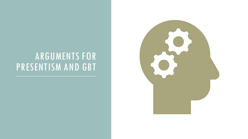#### ARGUMENTS FOR PRESENTISM AND GBT

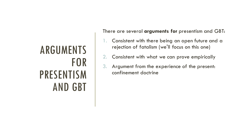# ARGUMENTS FOR PRESENTISM AND GBT

There are several **arguments for** presentism and GBT:

- 1. Consistent with there being an open future and a rejection of fatalism (we'll focus on this one)
- 2. Consistent with what we can prove empirically
- 3. Argument from the experience of the present: confinement doctrine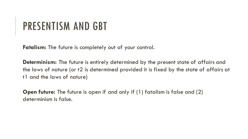**Fatalism:** The future is completely out of your control.

**Determinism:** The future is entirely determined by the present state of affairs and the laws of nature (or t2 is determined provided it is fixed by the state of affairs at t1 and the laws of nature)

**Open future:** The future is open if and only if (1) fatalism is false and (2) determinism is false.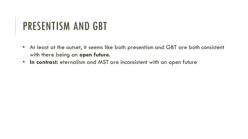- At least at the outset, it seems like both presentism and GBT are both consistent with there being an **open future.**
- **In contrast:** eternalism and MST are inconsistent with an open future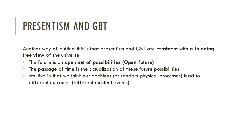Another way of putting this is that presentism and GBT are consistent with a **thinning tree view** of the universe

- The future is an **open set of possibilities (Open future)**
- The passage of time is the actualization of these future possibilities
- Intuitive in that we think our decisions (or random physical processes) lead to different outcomes (different existent events).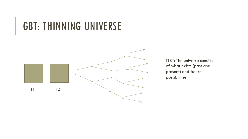#### GBT: THINNING UNIVERSE



GBT: The universe consists of what exists (past and present) and future possibilities.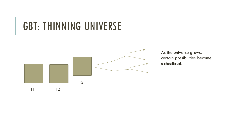### GBT: THINNING UNIVERSE



As the universe grows, certain possibilities become **actualized.**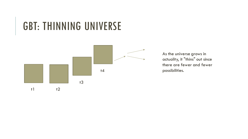### GBT: THINNING UNIVERSE



As the universe grows in actuality, it "thins" out since there are fewer and fewer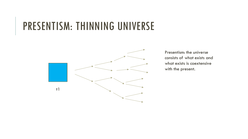### PRESENTISM: THINNING UNIVERSE



Presentism: the universe consists of what exists and what exists is coextensive with the present.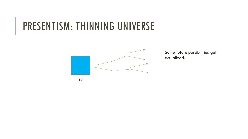## PRESENTISM: THINNING UNIVERSE



Some future possibilities get actualized.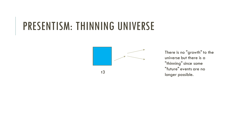### PRESENTISM: THINNING UNIVERSE



There is no "growth" to the universe but there is a "thinning" since some "future" events are no longer possible.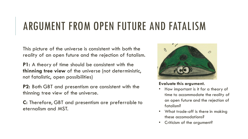## ARGUMENT FROM OPEN FUTURE AND FATALISM

This picture of the universe is consistent with both the reality of an open future and the rejection of fatalism.

**P1:** A theory of time should be consistent with the **thinning tree view** of the universe (not deterministic, not fatalistic, open possibilities)

**P2:** Both GBT and presentism are consistent with the thinning tree view of the universe.

**C:** Therefore, GBT and presentism are preferrable to eternalism and MST.



#### **Evaluate this argument.**

- How important is it for a theory of time to accommodate the reality of an open future and the rejection of fatalism?
- What trade-off is there in making these accomodations?
- Criticism of the argument?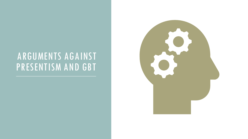#### ARGUMENTS AGAINST PRESENTISM AND GBT

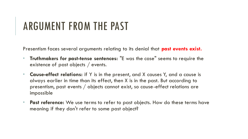Presentism faces several arguments relating to its denial that **past events exist.**

- **Truthmakers for past-tense sentences:** "E was the case" seems to require the existence of past objects / events.
- **Cause-effect relations:** if Y is in the present, and X causes Y, and a cause is always earlier in time than its effect, then X is in the past. But according to presentism, past events / objects cannot exist, so cause-effect relations are impossible
- Past reference: We use terms to refer to past objects. How do these terms have meaning if they don't refer to some past object?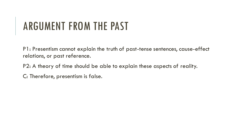P1: Presentism cannot explain the truth of past-tense sentences, cause-effect relations, or past reference.

P2: A theory of time should be able to explain these aspects of reality.

C: Therefore, presentism is false.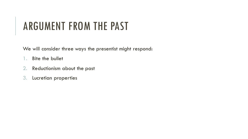We will consider three ways the presentist might respond:

- 1. Bite the bullet
- 2. Reductionism about the past
- 3. Lucretian properties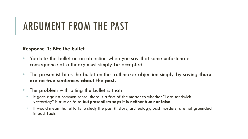#### **Response 1: Bite the bullet**

- You bite the bullet on an objection when you say that some unfortunate consequence of a theory must simply be accepted.
- The presentist bites the bullet on the truthmaker objection simply by saying **there are no true sentences about the past.**
- The problem with biting the bullet is that:
	- It goes against common sense: there is a fact of the matter to whether "I ate sandwich yesterday" is true or false **but presentism says it is neither true nor false**
	- It would mean that efforts to study the past (history, archeology, past murders) are not grounded in past facts.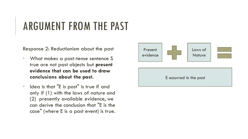Response 2: Reductionism about the past

- What makes a past-tense sentence S true are not past objects but **present evidence that can be used to draw conclusions about the past.**
- Idea is that "E is past" is true if and only if (1) with the laws of nature and (2) presently available evidence, we can derive the conclusion that "E is the case" (where E is a past event) is true.

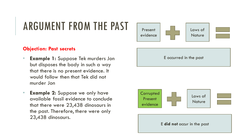#### **Objection: Past secrets**

- **Example 1:** Suppose Tek murders Jon but disposes the body in such a way that there is no present evidence. It would follow then that Tek did not murder Jon
- **Example 2:** Suppose we only have available fossil evidence to conclude that there were 23,438 dinosaurs in the past. Therefore, there were only 23,438 dinosaurs.





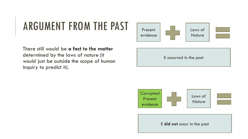There still would be **a fact to the matter** determined by the laws of nature (it would just be outside the scope of human inquiry to predict it).







E **did not** occur in the past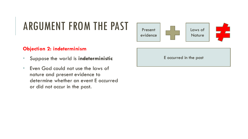#### **Objection 2: indeterminism**

- Suppose the world is **indeterministic**
- Even God could not use the laws of nature and present evidence to determine whether an event E occurred or did not occur in the past.



E occurred in the past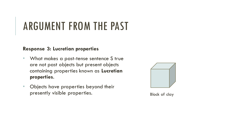#### **Response 3: Lucretian properties**

- What makes a past-tense sentence S true are not past objects but present objects containing properties known as **Lucretian properties**.
- Objects have properties beyond their presently visible properties. Block of clay

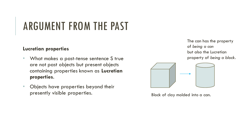#### **Lucretian properties**

- What makes a past-tense sentence S true are not past objects but present objects containing properties known as **Lucretian properties**.
- Objects have properties beyond their presently visible properties. Block of clay molded into a can.

The can has the property of *being a can* but also the Lucretian property of *being a block*.

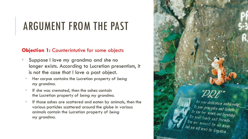#### **Objection 1:** Counterintutive for some objects

- Suppose I love my grandma and she no longer exists. According to Lucretian presentism, it is not the case that I love a past object.
- Her corpse contains the Lucretian property of *being my grandma*.
- If she was cremated, then the ashes contain the Lucretian property of *being my grandma*.
- If those ashes are scattered and eaten by animals, then the various particles scattered around the globe in various animals contain the Lucretian property of *being my grandma*.

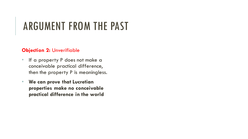#### **Objection 2:** Unverifiable

- If a property P does not make a conceivable practical difference, then the property P is meaningless.
- **We can prove that Lucretian properties make no conceivable practical difference in the world**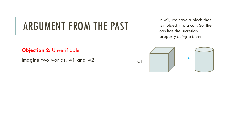In w1, we have a block that is molded into a can. So, the can has the Lucretian property *being a block*.



**Objection 2:** Unverifiable

Imagine two worlds: w1 and w2

w1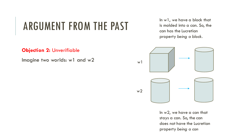#### **Objection 2:** Unverifiable

Imagine two worlds: w1 and w2

In w1, we have a block that is molded into a can. So, the can has the Lucretian property *being a block*.



In w2, we have a can that stays a can. So, the can does not have the Lucretian property *being a can*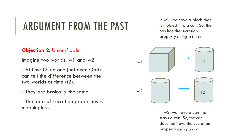#### **Objection 2:** Unverifiable

Imagine two worlds: w1 and w2

- At time t2, no one (not even God) can tell the difference between the two worlds at time (t2).

- They are basically the same.
- The idea of Lucretian properties is meaningless.

In w1, we have a block that is molded into a can. So, the can has the Lucretian property *being a block*.



In  $w2$ , we have a can that stays a can. So, the can does not have the Lucretian property *being a can*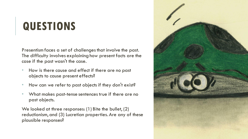# **QUESTIONS**

Presentism faces a set of challenges that involve the past. The difficulty involves explaining how present facts are the case if the past wasn't the case.

- How is there cause and effect if there are no past objects to cause present effects?
- How can we refer to past objects if they don't exist?
- What makes past-tense sentences true if there are no past objects.

We looked at three responses: (1) Bite the bullet, (2) reductionism, and (3) Lucretian properties. Are any of these plausible responses?